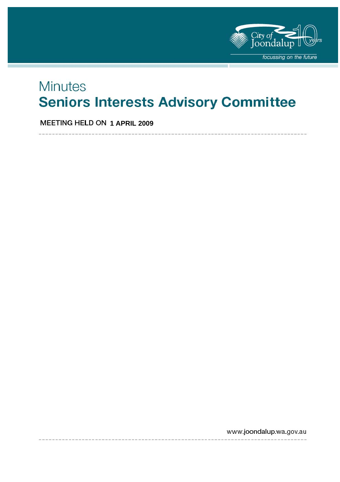

# **Minutes Seniors Interests Advisory Committee**

**MEETING HELD ON 1 APRIL 2009** 

www.joondalup.wa.gov.au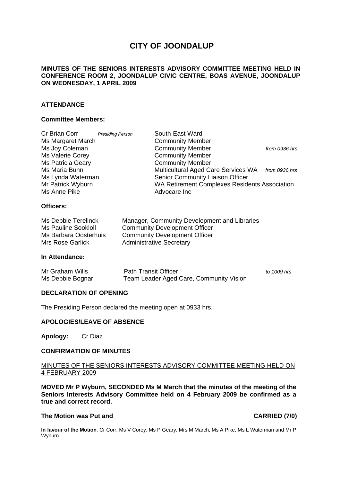# **CITY OF JOONDALUP**

#### **MINUTES OF THE SENIORS INTERESTS ADVISORY COMMITTEE MEETING HELD IN CONFERENCE ROOM 2, JOONDALUP CIVIC CENTRE, BOAS AVENUE, JOONDALUP ON WEDNESDAY, 1 APRIL 2009**

#### **ATTENDANCE**

#### **Committee Members:**

| Cr Brian Corr            | <b>Presiding Person</b> | South-East Ward                                      |               |
|--------------------------|-------------------------|------------------------------------------------------|---------------|
| Ms Margaret March        |                         | <b>Community Member</b>                              |               |
| Ms Joy Coleman           |                         | <b>Community Member</b>                              | from 0936 hrs |
| Ms Valerie Corey         |                         | <b>Community Member</b>                              |               |
| <b>Ms Patricia Geary</b> |                         | <b>Community Member</b>                              |               |
| Ms Maria Bunn            |                         | Multicultural Aged Care Services WA                  | from 0936 hrs |
| Ms Lynda Waterman        |                         | Senior Community Liaison Officer                     |               |
| Mr Patrick Wyburn        |                         | <b>WA Retirement Complexes Residents Association</b> |               |
| Ms Anne Pike             |                         | Advocare Inc                                         |               |
| Officers:                |                         |                                                      |               |

| Ms Debbie Terelinck        | Manager, Community Development and Libraries |
|----------------------------|----------------------------------------------|
| <b>Ms Pauline Sookloll</b> | <b>Community Development Officer</b>         |
| Ms Barbara Oosterhuis      | <b>Community Development Officer</b>         |
| Mrs Rose Garlick           | <b>Administrative Secretary</b>              |

#### **In Attendance:**

| Mr Graham Wills  | <b>Path Transit Officer</b>             | to 1009 hrs |
|------------------|-----------------------------------------|-------------|
| Ms Debbie Bognar | Team Leader Aged Care, Community Vision |             |

#### **DECLARATION OF OPENING**

The Presiding Person declared the meeting open at 0933 hrs.

#### **APOLOGIES/LEAVE OF ABSENCE**

**Apology:** Cr Diaz

#### **CONFIRMATION OF MINUTES**

#### MINUTES OF THE SENIORS INTERESTS ADVISORY COMMITTEE MEETING HELD ON 4 FEBRUARY 2009

**MOVED Mr P Wyburn, SECONDED Ms M March that the minutes of the meeting of the Seniors Interests Advisory Committee held on 4 February 2009 be confirmed as a true and correct record.** 

#### **The Motion was Put and CARRIED (7/0)**

**In favour of the Motion**: Cr Corr, Ms V Corey, Ms P Geary, Mrs M March, Ms A Pike, Ms L Waterman and Mr P Wyburn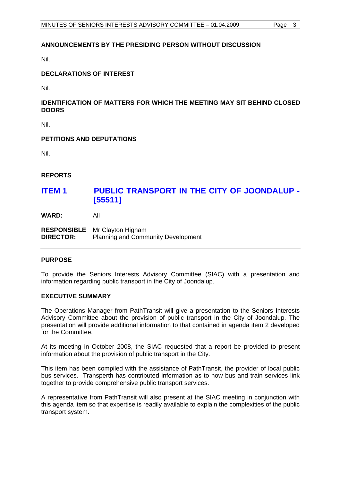#### **ANNOUNCEMENTS BY THE PRESIDING PERSON WITHOUT DISCUSSION**

Nil.

#### **DECLARATIONS OF INTEREST**

Nil.

### **IDENTIFICATION OF MATTERS FOR WHICH THE MEETING MAY SIT BEHIND CLOSED DOORS**

Nil.

### **PETITIONS AND DEPUTATIONS**

Nil.

**REPORTS** 

## **ITEM 1 PUBLIC TRANSPORT IN THE CITY OF JOONDALUP - [55511]**

**WARD:** All

**RESPONSIBLE** Mr Clayton Higham **DIRECTOR:** Planning and Community Development

#### **PURPOSE**

To provide the Seniors Interests Advisory Committee (SIAC) with a presentation and information regarding public transport in the City of Joondalup.

#### **EXECUTIVE SUMMARY**

The Operations Manager from PathTransit will give a presentation to the Seniors Interests Advisory Committee about the provision of public transport in the City of Joondalup. The presentation will provide additional information to that contained in agenda item 2 developed for the Committee.

At its meeting in October 2008, the SIAC requested that a report be provided to present information about the provision of public transport in the City.

This item has been compiled with the assistance of PathTransit, the provider of local public bus services. Transperth has contributed information as to how bus and train services link together to provide comprehensive public transport services.

A representative from PathTransit will also present at the SIAC meeting in conjunction with this agenda item so that expertise is readily available to explain the complexities of the public transport system.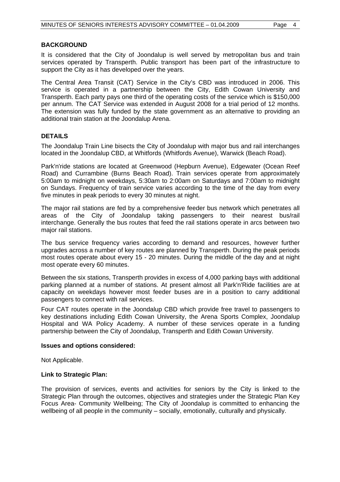#### **BACKGROUND**

It is considered that the City of Joondalup is well served by metropolitan bus and train services operated by Transperth. Public transport has been part of the infrastructure to support the City as it has developed over the years.

The Central Area Transit (CAT) Service in the City's CBD was introduced in 2006. This service is operated in a partnership between the City, Edith Cowan University and Transperth. Each party pays one third of the operating costs of the service which is \$150,000 per annum. The CAT Service was extended in August 2008 for a trial period of 12 months. The extension was fully funded by the state government as an alternative to providing an additional train station at the Joondalup Arena.

### **DETAILS**

The Joondalup Train Line bisects the City of Joondalup with major bus and rail interchanges located in the Joondalup CBD, at Whitfords (Whitfords Avenue), Warwick (Beach Road).

Park'n'ride stations are located at Greenwood (Hepburn Avenue), Edgewater (Ocean Reef Road) and Currambine (Burns Beach Road). Train services operate from approximately 5:00am to midnight on weekdays, 5:30am to 2:00am on Saturdays and 7:00am to midnight on Sundays. Frequency of train service varies according to the time of the day from every five minutes in peak periods to every 30 minutes at night.

The major rail stations are fed by a comprehensive feeder bus network which penetrates all areas of the City of Joondalup taking passengers to their nearest bus/rail interchange. Generally the bus routes that feed the rail stations operate in arcs between two major rail stations.

The bus service frequency varies according to demand and resources, however further upgrades across a number of key routes are planned by Transperth. During the peak periods most routes operate about every 15 - 20 minutes. During the middle of the day and at night most operate every 60 minutes.

Between the six stations, Transperth provides in excess of 4,000 parking bays with additional parking planned at a number of stations. At present almost all Park'n'Ride facilities are at capacity on weekdays however most feeder buses are in a position to carry additional passengers to connect with rail services.

Four CAT routes operate in the Joondalup CBD which provide free travel to passengers to key destinations including Edith Cowan University, the Arena Sports Complex, Joondalup Hospital and WA Policy Academy. A number of these services operate in a funding partnership between the City of Joondalup, Transperth and Edith Cowan University.

#### **Issues and options considered:**

Not Applicable.

#### **Link to Strategic Plan:**

The provision of services, events and activities for seniors by the City is linked to the Strategic Plan through the outcomes, objectives and strategies under the Strategic Plan Key Focus Area- Community Wellbeing; The City of Joondalup is committed to enhancing the wellbeing of all people in the community – socially, emotionally, culturally and physically.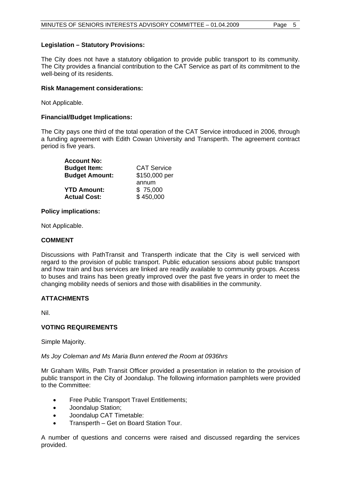#### **Legislation – Statutory Provisions:**

The City does not have a statutory obligation to provide public transport to its community. The City provides a financial contribution to the CAT Service as part of its commitment to the well-being of its residents.

#### **Risk Management considerations:**

Not Applicable.

#### **Financial/Budget Implications:**

The City pays one third of the total operation of the CAT Service introduced in 2006, through a funding agreement with Edith Cowan University and Transperth. The agreement contract period is five years.

| <b>Account No:</b>    |                    |
|-----------------------|--------------------|
| <b>Budget Item:</b>   | <b>CAT Service</b> |
| <b>Budget Amount:</b> | \$150,000 per      |
|                       | annum              |
| <b>YTD Amount:</b>    | \$75,000           |
| <b>Actual Cost:</b>   | \$450,000          |

#### **Policy implications:**

Not Applicable.

#### **COMMENT**

Discussions with PathTransit and Transperth indicate that the City is well serviced with regard to the provision of public transport. Public education sessions about public transport and how train and bus services are linked are readily available to community groups. Access to buses and trains has been greatly improved over the past five years in order to meet the changing mobility needs of seniors and those with disabilities in the community.

### **ATTACHMENTS**

Nil.

### **VOTING REQUIREMENTS**

Simple Majority.

#### *Ms Joy Coleman and Ms Maria Bunn entered the Room at 0936hrs*

Mr Graham Wills, Path Transit Officer provided a presentation in relation to the provision of public transport in the City of Joondalup. The following information pamphlets were provided to the Committee:

- Free Public Transport Travel Entitlements;
- Joondalup Station;
- Joondalup CAT Timetable:
- Transperth Get on Board Station Tour.

A number of questions and concerns were raised and discussed regarding the services provided.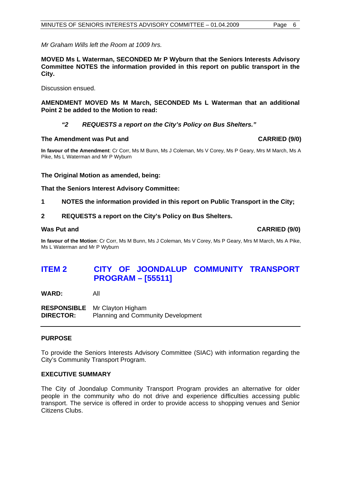*Mr Graham Wills left the Room at 1009 hrs.* 

**MOVED Ms L Waterman, SECONDED Mr P Wyburn that the Seniors Interests Advisory Committee NOTES the information provided in this report on public transport in the City.** 

Discussion ensued.

**AMENDMENT MOVED Ms M March, SECONDED Ms L Waterman that an additional Point 2 be added to the Motion to read:** 

#### *"2 REQUESTS a report on the City's Policy on Bus Shelters."*

#### **The Amendment was Put and CARRIED (9/0) CARRIED (9/0)**

**In favour of the Amendment**: Cr Corr, Ms M Bunn, Ms J Coleman, Ms V Corey, Ms P Geary, Mrs M March, Ms A Pike, Ms L Waterman and Mr P Wyburn

#### **The Original Motion as amended, being:**

#### **That the Seniors Interest Advisory Committee:**

- **1 NOTES the information provided in this report on Public Transport in the City;**
- **2 REQUESTS a report on the City's Policy on Bus Shelters.**

**In favour of the Motion**: Cr Corr, Ms M Bunn, Ms J Coleman, Ms V Corey, Ms P Geary, Mrs M March, Ms A Pike, Ms L Waterman and Mr P Wyburn

# **ITEM 2 CITY OF JOONDALUP COMMUNITY TRANSPORT PROGRAM – [55511]**

**WARD:** All

**RESPONSIBLE** Mr Clayton Higham **DIRECTOR:** Planning and Community Development

#### **PURPOSE**

To provide the Seniors Interests Advisory Committee (SIAC) with information regarding the City's Community Transport Program.

#### **EXECUTIVE SUMMARY**

The City of Joondalup Community Transport Program provides an alternative for older people in the community who do not drive and experience difficulties accessing public transport. The service is offered in order to provide access to shopping venues and Senior Citizens Clubs.

**Was Put and CARRIED (9/0) CARRIED (9/0)**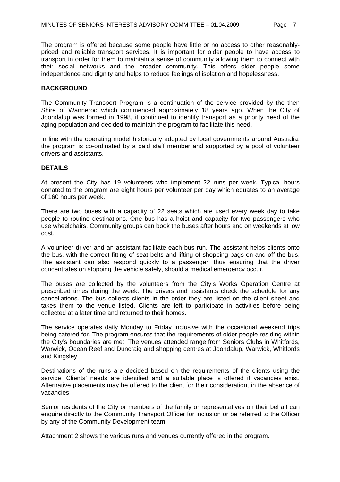The program is offered because some people have little or no access to other reasonablypriced and reliable transport services. It is important for older people to have access to transport in order for them to maintain a sense of community allowing them to connect with their social networks and the broader community. This offers older people some independence and dignity and helps to reduce feelings of isolation and hopelessness.

#### **BACKGROUND**

The Community Transport Program is a continuation of the service provided by the then Shire of Wanneroo which commenced approximately 18 years ago. When the City of Joondalup was formed in 1998, it continued to identify transport as a priority need of the aging population and decided to maintain the program to facilitate this need.

In line with the operating model historically adopted by local governments around Australia, the program is co-ordinated by a paid staff member and supported by a pool of volunteer drivers and assistants.

#### **DETAILS**

At present the City has 19 volunteers who implement 22 runs per week. Typical hours donated to the program are eight hours per volunteer per day which equates to an average of 160 hours per week.

There are two buses with a capacity of 22 seats which are used every week day to take people to routine destinations. One bus has a hoist and capacity for two passengers who use wheelchairs. Community groups can book the buses after hours and on weekends at low cost.

A volunteer driver and an assistant facilitate each bus run. The assistant helps clients onto the bus, with the correct fitting of seat belts and lifting of shopping bags on and off the bus. The assistant can also respond quickly to a passenger, thus ensuring that the driver concentrates on stopping the vehicle safely, should a medical emergency occur.

The buses are collected by the volunteers from the City's Works Operation Centre at prescribed times during the week. The drivers and assistants check the schedule for any cancellations. The bus collects clients in the order they are listed on the client sheet and takes them to the venue listed. Clients are left to participate in activities before being collected at a later time and returned to their homes.

The service operates daily Monday to Friday inclusive with the occasional weekend trips being catered for. The program ensures that the requirements of older people residing within the City's boundaries are met. The venues attended range from Seniors Clubs in Whitfords, Warwick, Ocean Reef and Duncraig and shopping centres at Joondalup, Warwick, Whitfords and Kingsley.

Destinations of the runs are decided based on the requirements of the clients using the service. Clients' needs are identified and a suitable place is offered if vacancies exist. Alternative placements may be offered to the client for their consideration, in the absence of vacancies.

Senior residents of the City or members of the family or representatives on their behalf can enquire directly to the Community Transport Officer for inclusion or be referred to the Officer by any of the Community Development team.

Attachment 2 shows the various runs and venues currently offered in the program.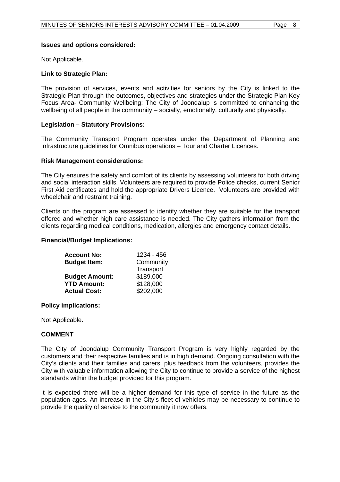#### **Issues and options considered:**

Not Applicable.

#### **Link to Strategic Plan:**

The provision of services, events and activities for seniors by the City is linked to the Strategic Plan through the outcomes, objectives and strategies under the Strategic Plan Key Focus Area- Community Wellbeing; The City of Joondalup is committed to enhancing the wellbeing of all people in the community – socially, emotionally, culturally and physically.

#### **Legislation – Statutory Provisions:**

The Community Transport Program operates under the Department of Planning and Infrastructure guidelines for Omnibus operations – Tour and Charter Licences.

#### **Risk Management considerations:**

The City ensures the safety and comfort of its clients by assessing volunteers for both driving and social interaction skills. Volunteers are required to provide Police checks, current Senior First Aid certificates and hold the appropriate Drivers Licence. Volunteers are provided with wheelchair and restraint training.

Clients on the program are assessed to identify whether they are suitable for the transport offered and whether high care assistance is needed. The City gathers information from the clients regarding medical conditions, medication, allergies and emergency contact details.

#### **Financial/Budget Implications:**

| <b>Account No:</b>    | 1234 - 456 |
|-----------------------|------------|
| <b>Budget Item:</b>   | Community  |
|                       | Transport  |
| <b>Budget Amount:</b> | \$189,000  |
| <b>YTD Amount:</b>    | \$128,000  |
| <b>Actual Cost:</b>   | \$202,000  |

#### **Policy implications:**

Not Applicable.

#### **COMMENT**

The City of Joondalup Community Transport Program is very highly regarded by the customers and their respective families and is in high demand. Ongoing consultation with the City's clients and their families and carers, plus feedback from the volunteers, provides the City with valuable information allowing the City to continue to provide a service of the highest standards within the budget provided for this program.

It is expected there will be a higher demand for this type of service in the future as the population ages. An increase in the City's fleet of vehicles may be necessary to continue to provide the quality of service to the community it now offers.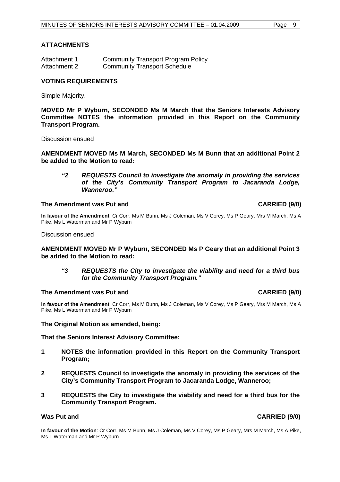#### **ATTACHMENTS**

| Attachment 1 | <b>Community Transport Program Policy</b> |
|--------------|-------------------------------------------|
| Attachment 2 | <b>Community Transport Schedule</b>       |

#### **VOTING REQUIREMENTS**

Simple Majority.

**MOVED Mr P Wyburn, SECONDED Ms M March that the Seniors Interests Advisory Committee NOTES the information provided in this Report on the Community Transport Program.** 

Discussion ensued

**AMENDMENT MOVED Ms M March, SECONDED Ms M Bunn that an additional Point 2 be added to the Motion to read:** 

*"2 REQUESTS Council to investigate the anomaly in providing the services of the City's Community Transport Program to Jacaranda Lodge, Wanneroo."* 

#### **The Amendment was Put and CARRIED (9/0) CARRIED (9/0)**

**In favour of the Amendment**: Cr Corr, Ms M Bunn, Ms J Coleman, Ms V Corey, Ms P Geary, Mrs M March, Ms A Pike, Ms L Waterman and Mr P Wyburn

Discussion ensued

#### **AMENDMENT MOVED Mr P Wyburn, SECONDED Ms P Geary that an additional Point 3 be added to the Motion to read:**

*"3 REQUESTS the City to investigate the viability and need for a third bus for the Community Transport Program."* 

#### **The Amendment was Put and CARRIED (9/0) CARRIED (9/0)**

**In favour of the Amendment**: Cr Corr, Ms M Bunn, Ms J Coleman, Ms V Corey, Ms P Geary, Mrs M March, Ms A Pike, Ms L Waterman and Mr P Wyburn

#### **The Original Motion as amended, being:**

#### **That the Seniors Interest Advisory Committee:**

- **1 NOTES the information provided in this Report on the Community Transport Program;**
- **2 REQUESTS Council to investigate the anomaly in providing the services of the City's Community Transport Program to Jacaranda Lodge, Wanneroo;**
- **3 REQUESTS the City to investigate the viability and need for a third bus for the Community Transport Program.**

### **Was Put and CARRIED (9/0)**

**In favour of the Motion**: Cr Corr, Ms M Bunn, Ms J Coleman, Ms V Corey, Ms P Geary, Mrs M March, Ms A Pike, Ms L Waterman and Mr P Wyburn